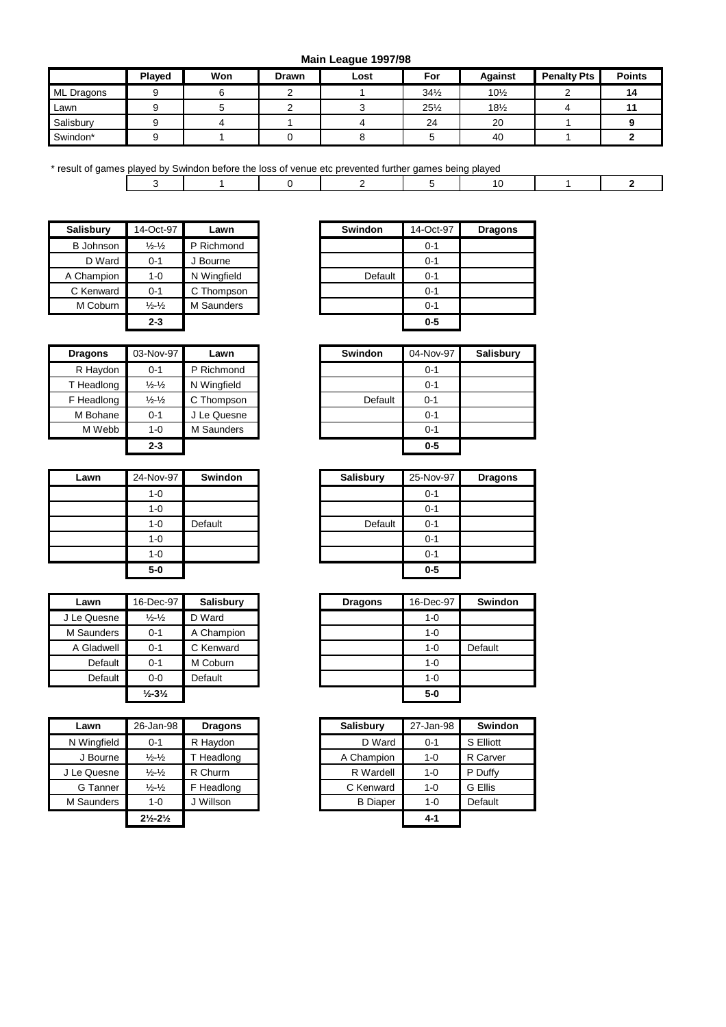**Main League 1997/98**

|                   |               |     |              | $\sim$ |                 |                 |                    |               |
|-------------------|---------------|-----|--------------|--------|-----------------|-----------------|--------------------|---------------|
|                   | <b>Played</b> | Won | <b>Drawn</b> | Lost   | For             | Against         | <b>Penalty Pts</b> | <b>Points</b> |
| <b>ML Dragons</b> |               |     |              |        | $34\frac{1}{2}$ | $10\frac{1}{2}$ |                    | 14            |
| Lawn              |               |     |              |        | $25\frac{1}{2}$ | $18\frac{1}{2}$ |                    |               |
| Salisbury         |               |     |              |        | 24              | 20              |                    |               |
| Swindon*          |               |     |              |        |                 | 40              |                    |               |

| * result of games played by Swindon before the loss of venue etc prevented further games being played |  |  |  |  |  |  |  |  |  |
|-------------------------------------------------------------------------------------------------------|--|--|--|--|--|--|--|--|--|
|                                                                                                       |  |  |  |  |  |  |  |  |  |

| <b>Salisbury</b> | 14-Oct-97                   | Lawn              | <b>Swindon</b> | 14-Oct  |
|------------------|-----------------------------|-------------------|----------------|---------|
| <b>B</b> Johnson | $\frac{1}{2}$ $\frac{1}{2}$ | P Richmond        |                | $0 - 1$ |
| D Ward           | $0 - 1$                     | J Bourne          |                | $0 - 1$ |
| A Champion       | $1 - 0$                     | N Wingfield       | Default        | $0 - 1$ |
| C Kenward        | $0 - 1$                     | C Thompson        |                | $0 - 1$ |
| M Coburn         | $\frac{1}{2}$ $\frac{1}{2}$ | <b>M</b> Saunders |                | $0 - 1$ |
|                  | $2 - 3$                     |                   |                | $0-5$   |

| <b>Dragons</b> | 03-Nov-97                   | Lawn        | <b>Swindon</b> |
|----------------|-----------------------------|-------------|----------------|
| R Haydon       | $0 - 1$                     | P Richmond  |                |
| T Headlong     | $\frac{1}{2}$ $\frac{1}{2}$ | N Wingfield |                |
| F Headlong     | $\frac{1}{2}$ $\frac{1}{2}$ | C Thompson  | Default        |
| M Bohane       | $0 - 1$                     | J Le Quesne |                |
| M Webb         | $1 - 0$                     | M Saunders  |                |
|                | $2 - 3$                     |             |                |

| Lawn | 24-Nov-97 | Swindon |
|------|-----------|---------|
|      | $1 - 0$   |         |
|      | $1 - 0$   |         |
|      | $1 - 0$   | Default |
|      | $1 - 0$   |         |
|      | $1 - 0$   |         |
|      | 5-0       |         |

| Lawn        | 16-Dec-97                     | <b>Salisbury</b> |
|-------------|-------------------------------|------------------|
| J Le Quesne | $\frac{1}{2}$ - $\frac{1}{2}$ | D Ward           |
| M Saunders  | $0 - 1$                       | A Champion       |
| A Gladwell  | $0 - 1$                       | C Kenward        |
| Default     | $0 - 1$                       | M Coburn         |
| Default     | $0 - 0$                       | Default          |
|             | $\frac{1}{2} - 3\frac{1}{2}$  |                  |

| Lawn        | 26-Jan-98                       | <b>Dragons</b> | <b>Salisbury</b> | 27-Jan-98 |           |
|-------------|---------------------------------|----------------|------------------|-----------|-----------|
| N Wingfield | $0 - 1$                         | R Haydon       | D Ward           | $0 - 1$   | S Elliott |
| J Bourne    | $\frac{1}{2}$ $\frac{1}{2}$     | Headlong       | A Champion       | $1 - 0$   | R Carve   |
| J Le Quesne | $\frac{1}{2}$ $\frac{1}{2}$     | R Churm        | R Wardell        | $1 - 0$   | P Duffy   |
| G Tanner    | $\frac{1}{2}$ $\frac{1}{2}$     | F Headlong     | C Kenward        | $1 - 0$   | G Ellis   |
| M Saunders  | $1 - 0$                         | J Willson      | <b>B</b> Diaper  | $1 - 0$   | Default   |
|             | $2\frac{1}{2}$ -2 $\frac{1}{2}$ |                |                  | $4 - 1$   |           |

| Salisbury        | 14-Oct-97                     | Lawn        | <b>Swindon</b> | 14-Oct-97 | <b>Dragons</b> |
|------------------|-------------------------------|-------------|----------------|-----------|----------------|
| <b>B</b> Johnson | $\frac{1}{2}$ - $\frac{1}{2}$ | P Richmond  |                | $0 - 1$   |                |
| D Ward           | $0 - 1$                       | Bourne      |                | $0 - 1$   |                |
| A Champion       | $1 - 0$                       | N Wingfield | Default        | $0 - 1$   |                |
| C Kenward        | $0 - 1$                       | C Thompson  |                | $0 - 1$   |                |
| M Coburn         | $\frac{1}{2}$ - $\frac{1}{2}$ | M Saunders  |                | $0 - 1$   |                |
|                  | $2 - 3$                       |             |                | $0 - 5$   |                |

| <b>Dragons</b> | 03-Nov-97                     | Lawn        |
|----------------|-------------------------------|-------------|
| R Haydon       | $0 - 1$                       | P Richmond  |
| T Headlong     | $\frac{1}{2}$ - $\frac{1}{2}$ | N Wingfield |
| F Headlong     | $\frac{1}{2}$ $\frac{1}{2}$   | C Thompson  |
| M Bohane       | $0 - 1$                       | Le Quesne   |
| M Webb         | $1 - 0$                       | M Saunders  |
|                | $2 - 3$                       |             |

| Lawn | 24-Nov-97 | Swindon | <b>Salisbury</b> | 25-Nov-97 |
|------|-----------|---------|------------------|-----------|
|      | $1 - 0$   |         |                  | $0 - 1$   |
|      | $1 - 0$   |         |                  | $0 - 1$   |
|      | $1 - 0$   | Default | Default          | $0 - 1$   |
|      | $1 - 0$   |         |                  | $0 - 1$   |
|      | $1 - 0$   |         |                  | $0 - 1$   |
|      | $5-0$     |         |                  | $0-5$     |

| Lawn            | 16-Dec-97                    | Salisbury  |
|-----------------|------------------------------|------------|
| e Quesne.       | $\frac{1}{2}$ $\frac{1}{2}$  | D Ward     |
| <b>Saunders</b> | $0 - 1$                      | A Champion |
| Gladwell        | $0 - 1$                      | C Kenward  |
| Default         | $0 - 1$                      | M Coburn   |
| Default         | $0 - 0$                      | Default    |
|                 | $\frac{1}{2} - 3\frac{1}{2}$ |            |

| Lawn            | 26-Jan-98                       | <b>Dragons</b> | <b>Salisbury</b> | 27-Jan-98 | <b>Swindon</b> |
|-----------------|---------------------------------|----------------|------------------|-----------|----------------|
| Wingfield       | $0 - 1$                         | R Haydon       | D Ward           | $0 - 1$   | S Elliott      |
| J Bourne        | $\frac{1}{2}$ $\frac{1}{2}$     | T Headlong     | A Champion       | $1 - 0$   | R Carver       |
| e Quesne.       | $\frac{1}{2}$ $\frac{1}{2}$     | R Churm        | R Wardell        | $1 - 0$   | P Duffy        |
| G Tanner        | $\frac{1}{2}$ $\frac{1}{2}$     | F Headlong     | C Kenward        | $1 - 0$   | G Ellis        |
| <b>Saunders</b> | $1 - 0$                         | J Willson      | <b>B</b> Diaper  | $1 - 0$   | Default        |
|                 | $2\frac{1}{2}$ -2 $\frac{1}{2}$ |                |                  | $4 - 1$   |                |